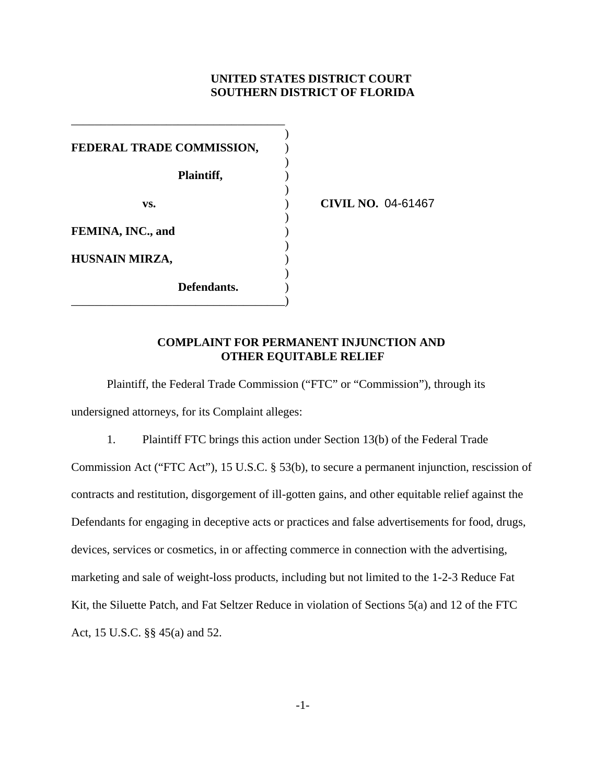# **UNITED STATES DISTRICT COURT SOUTHERN DISTRICT OF FLORIDA**

| FEDERAL TRADE COMMISSION, |  |
|---------------------------|--|
| Plaintiff,                |  |
| VS.                       |  |
| FEMINA, INC., and         |  |
| HUSNAIN MIRZA,            |  |
| Defendants.               |  |

\_\_\_\_\_\_\_\_\_\_\_\_\_\_\_\_\_\_\_\_\_\_\_\_\_\_\_\_\_\_\_\_\_\_\_\_

**vs.** ) **CIVIL NO.** 04-61467

# **COMPLAINT FOR PERMANENT INJUNCTION AND OTHER EQUITABLE RELIEF**

Plaintiff, the Federal Trade Commission ("FTC" or "Commission"), through its undersigned attorneys, for its Complaint alleges:

1. Plaintiff FTC brings this action under Section 13(b) of the Federal Trade Commission Act ("FTC Act"), 15 U.S.C. § 53(b), to secure a permanent injunction, rescission of contracts and restitution, disgorgement of ill-gotten gains, and other equitable relief against the Defendants for engaging in deceptive acts or practices and false advertisements for food, drugs, devices, services or cosmetics, in or affecting commerce in connection with the advertising, marketing and sale of weight-loss products, including but not limited to the 1-2-3 Reduce Fat Kit, the Siluette Patch, and Fat Seltzer Reduce in violation of Sections 5(a) and 12 of the FTC Act, 15 U.S.C. §§ 45(a) and 52.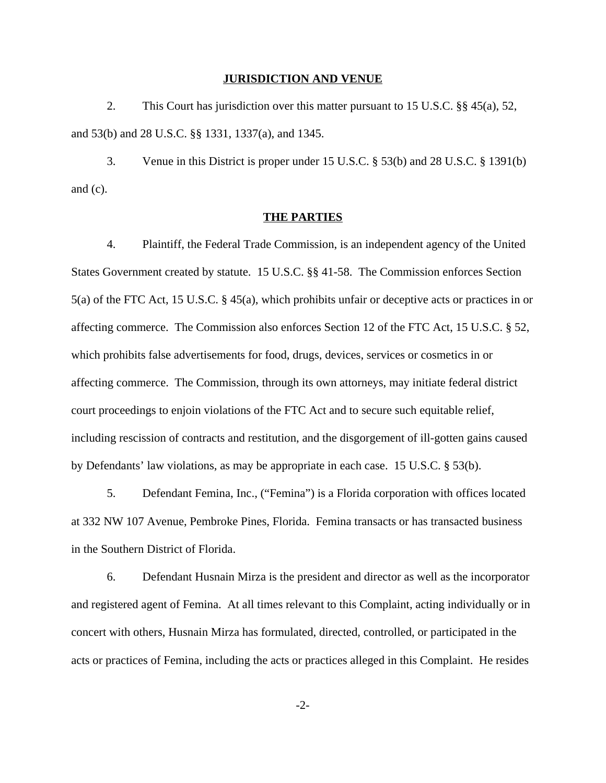#### **JURISDICTION AND VENUE**

2. This Court has jurisdiction over this matter pursuant to 15 U.S.C. §§ 45(a), 52, and 53(b) and 28 U.S.C. §§ 1331, 1337(a), and 1345.

3. Venue in this District is proper under 15 U.S.C. § 53(b) and 28 U.S.C. § 1391(b) and (c).

#### **THE PARTIES**

4. Plaintiff, the Federal Trade Commission, is an independent agency of the United States Government created by statute. 15 U.S.C. §§ 41-58. The Commission enforces Section 5(a) of the FTC Act, 15 U.S.C. § 45(a), which prohibits unfair or deceptive acts or practices in or affecting commerce. The Commission also enforces Section 12 of the FTC Act, 15 U.S.C. § 52, which prohibits false advertisements for food, drugs, devices, services or cosmetics in or affecting commerce. The Commission, through its own attorneys, may initiate federal district court proceedings to enjoin violations of the FTC Act and to secure such equitable relief, including rescission of contracts and restitution, and the disgorgement of ill-gotten gains caused by Defendants' law violations, as may be appropriate in each case. 15 U.S.C. § 53(b).

5. Defendant Femina, Inc., ("Femina") is a Florida corporation with offices located at 332 NW 107 Avenue, Pembroke Pines, Florida. Femina transacts or has transacted business in the Southern District of Florida.

6. Defendant Husnain Mirza is the president and director as well as the incorporator and registered agent of Femina. At all times relevant to this Complaint, acting individually or in concert with others, Husnain Mirza has formulated, directed, controlled, or participated in the acts or practices of Femina, including the acts or practices alleged in this Complaint. He resides

-2-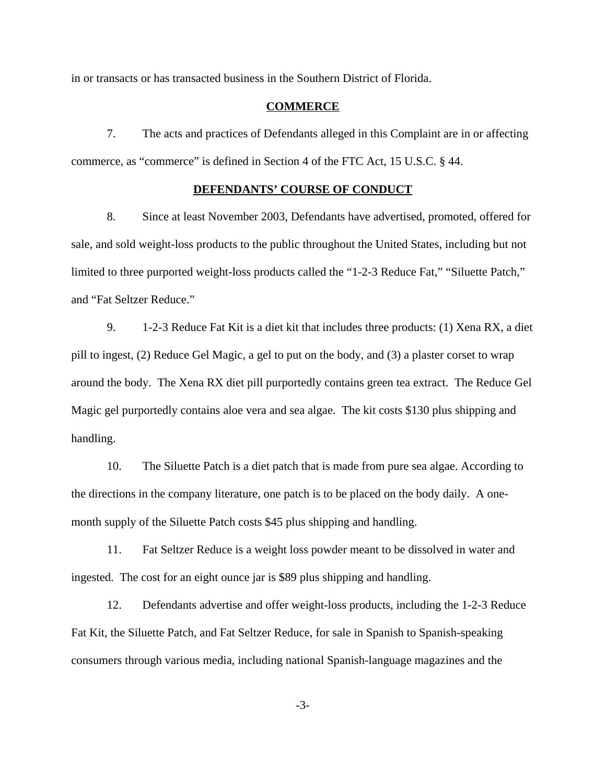in or transacts or has transacted business in the Southern District of Florida.

#### **COMMERCE**

7. The acts and practices of Defendants alleged in this Complaint are in or affecting commerce, as "commerce" is defined in Section 4 of the FTC Act, 15 U.S.C. § 44.

#### **DEFENDANTS' COURSE OF CONDUCT**

8. Since at least November 2003, Defendants have advertised, promoted, offered for sale, and sold weight-loss products to the public throughout the United States, including but not limited to three purported weight-loss products called the "1-2-3 Reduce Fat," "Siluette Patch," and "Fat Seltzer Reduce."

9. 1-2-3 Reduce Fat Kit is a diet kit that includes three products: (1) Xena RX, a diet pill to ingest, (2) Reduce Gel Magic, a gel to put on the body, and (3) a plaster corset to wrap around the body. The Xena RX diet pill purportedly contains green tea extract. The Reduce Gel Magic gel purportedly contains aloe vera and sea algae. The kit costs \$130 plus shipping and handling.

10. The Siluette Patch is a diet patch that is made from pure sea algae. According to the directions in the company literature, one patch is to be placed on the body daily. A onemonth supply of the Siluette Patch costs \$45 plus shipping and handling.

11. Fat Seltzer Reduce is a weight loss powder meant to be dissolved in water and ingested. The cost for an eight ounce jar is \$89 plus shipping and handling.

12. Defendants advertise and offer weight-loss products, including the 1-2-3 Reduce Fat Kit, the Siluette Patch, and Fat Seltzer Reduce, for sale in Spanish to Spanish-speaking consumers through various media, including national Spanish-language magazines and the

-3-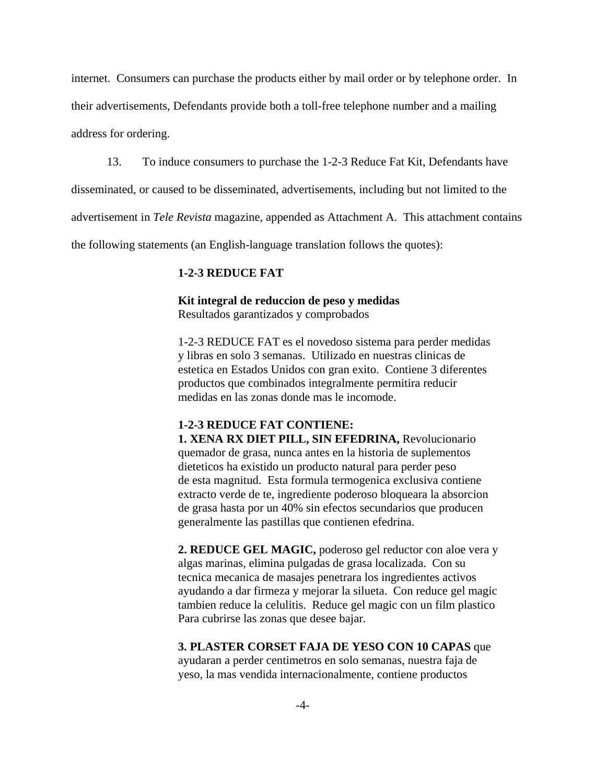internet. Consumers can purchase the products either by mail order or by telephone order. In their advertisements, Defendants provide both a toll-free telephone number and a mailing address for ordering.

13. To induce consumers to purchase the 1-2-3 Reduce Fat Kit, Defendants have

disseminated, or caused to be disseminated, advertisements, including but not limited to the

advertisement in *Tele Revista* magazine, appended as Attachment A. This attachment contains

the following statements (an English-language translation follows the quotes):

# **1-2-3 REDUCE FAT**

# **Kit integral de reduccion de peso y medidas**

Resultados garantizados y comprobados

1-2-3 REDUCE FAT es el novedoso sistema para perder medidas y libras en solo 3 semanas. Utilizado en nuestras clinicas de estetica en Estados Unidos con gran exito. Contiene 3 diferentes productos que combinados integralmente permitira reducir medidas en las zonas donde mas le incomode.

# **1-2-3 REDUCE FAT CONTIENE:**

**1. XENA RX DIET PILL, SIN EFEDRINA,** Revolucionario quemador de grasa, nunca antes en la historia de suplementos dieteticos ha existido un producto natural para perder peso de esta magnitud. Esta formula termogenica exclusiva contiene extracto verde de te, ingrediente poderoso bloqueara la absorcion de grasa hasta por un 40% sin efectos secundarios que producen generalmente las pastillas que contienen efedrina.

**2. REDUCE GEL MAGIC,** poderoso gel reductor con aloe vera y algas marinas, elimina pulgadas de grasa localizada. Con su tecnica mecanica de masajes penetrara los ingredientes activos ayudando a dar firmeza y mejorar la silueta. Con reduce gel magic tambien reduce la celulitis. Reduce gel magic con un film plastico Para cubrirse las zonas que desee bajar.

**3. PLASTER CORSET FAJA DE YESO CON 10 CAPAS** que ayudaran a perder centimetros en solo semanas, nuestra faja de yeso, la mas vendida internacionalmente, contiene productos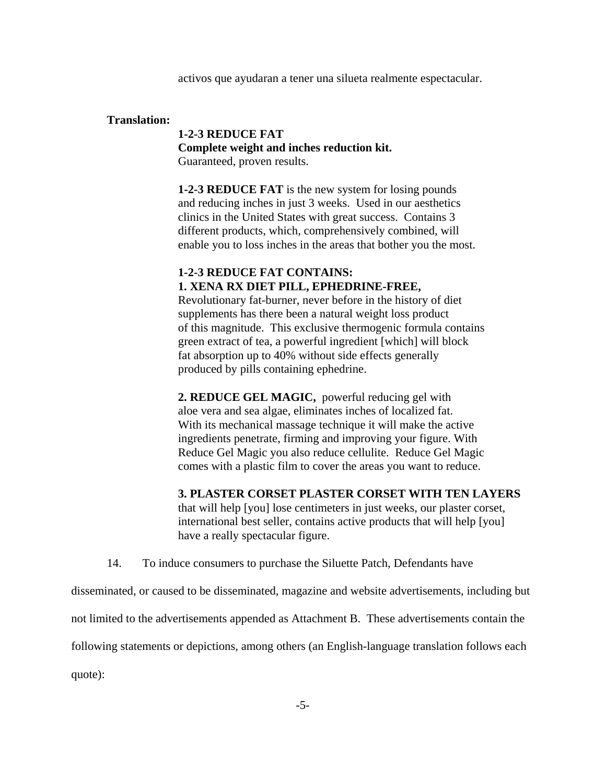activos que ayudaran a tener una silueta realmente espectacular.

## **Translation:**

**1-2-3 REDUCE FAT Complete weight and inches reduction kit.** Guaranteed, proven results.

**1-2-3 REDUCE FAT** is the new system for losing pounds and reducing inches in just 3 weeks. Used in our aesthetics clinics in the United States with great success. Contains 3 different products, which, comprehensively combined, will enable you to loss inches in the areas that bother you the most.

# **1-2-3 REDUCE FAT CONTAINS: 1. XENA RX DIET PILL, EPHEDRINE-FREE,**

Revolutionary fat-burner, never before in the history of diet supplements has there been a natural weight loss product of this magnitude. This exclusive thermogenic formula contains green extract of tea, a powerful ingredient [which] will block fat absorption up to 40% without side effects generally produced by pills containing ephedrine.

**2. REDUCE GEL MAGIC,** powerful reducing gel with aloe vera and sea algae, eliminates inches of localized fat. With its mechanical massage technique it will make the active ingredients penetrate, firming and improving your figure. With Reduce Gel Magic you also reduce cellulite. Reduce Gel Magic comes with a plastic film to cover the areas you want to reduce.

**3. PLASTER CORSET PLASTER CORSET WITH TEN LAYERS** 

that will help [you] lose centimeters in just weeks, our plaster corset, international best seller, contains active products that will help [you] have a really spectacular figure.

14. To induce consumers to purchase the Siluette Patch, Defendants have

disseminated, or caused to be disseminated, magazine and website advertisements, including but not limited to the advertisements appended as Attachment B. These advertisements contain the following statements or depictions, among others (an English-language translation follows each

quote):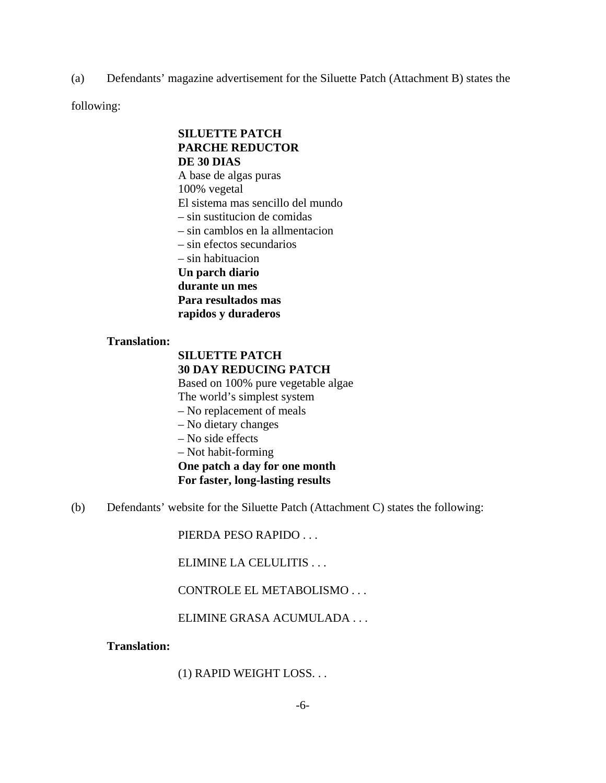(a) Defendants' magazine advertisement for the Siluette Patch (Attachment B) states the

following:

# **SILUETTE PATCH PARCHE REDUCTOR DE 30 DIAS**

A base de algas puras 100% vegetal El sistema mas sencillo del mundo

– sin sustitucion de comidas

– sin camblos en la allmentacion

– sin efectos secundarios

– sin habituacion

**Un parch diario**

**durante un mes**

**Para resultados mas**

**rapidos y duraderos**

## **Translation:**

# **SILUETTE PATCH 30 DAY REDUCING PATCH**

Based on 100% pure vegetable algae The world's simplest system

- No replacement of meals
- No dietary changes
- No side effects

– Not habit-forming

**One patch a day for one month For faster, long-lasting results**

(b) Defendants' website for the Siluette Patch (Attachment C) states the following:

PIERDA PESO RAPIDO . . .

ELIMINE LA CELULITIS . . .

CONTROLE EL METABOLISMO . . .

ELIMINE GRASA ACUMULADA . . .

## **Translation:**

(1) RAPID WEIGHT LOSS. . .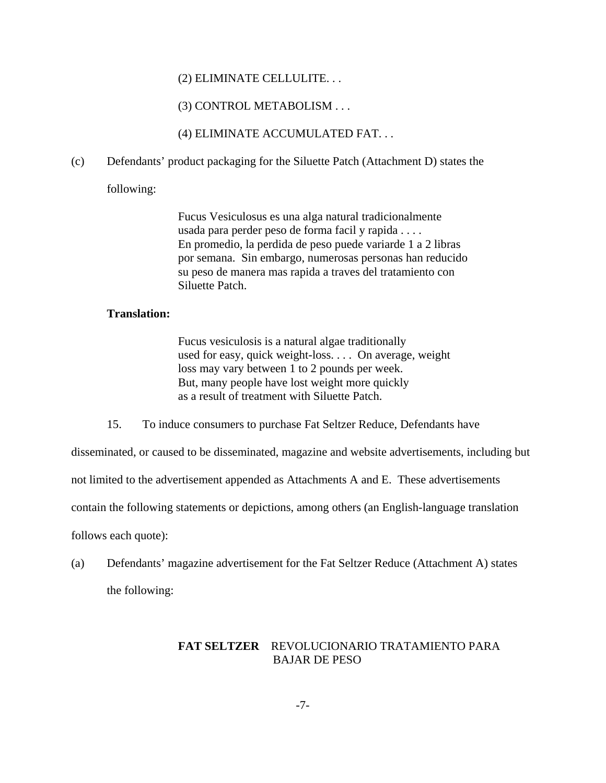## (2) ELIMINATE CELLULITE. . .

## (3) CONTROL METABOLISM . . .

(4) ELIMINATE ACCUMULATED FAT. . .

(c) Defendants' product packaging for the Siluette Patch (Attachment D) states the

following:

Fucus Vesiculosus es una alga natural tradicionalmente usada para perder peso de forma facil y rapida . . . . En promedio, la perdida de peso puede variarde 1 a 2 libras por semana. Sin embargo, numerosas personas han reducido su peso de manera mas rapida a traves del tratamiento con Siluette Patch.

### **Translation:**

Fucus vesiculosis is a natural algae traditionally used for easy, quick weight-loss. . . . On average, weight loss may vary between 1 to 2 pounds per week. But, many people have lost weight more quickly as a result of treatment with Siluette Patch.

15. To induce consumers to purchase Fat Seltzer Reduce, Defendants have

disseminated, or caused to be disseminated, magazine and website advertisements, including but

not limited to the advertisement appended as Attachments A and E. These advertisements

contain the following statements or depictions, among others (an English-language translation

follows each quote):

(a) Defendants' magazine advertisement for the Fat Seltzer Reduce (Attachment A) states the following:

# **FAT SELTZER** REVOLUCIONARIO TRATAMIENTO PARA BAJAR DE PESO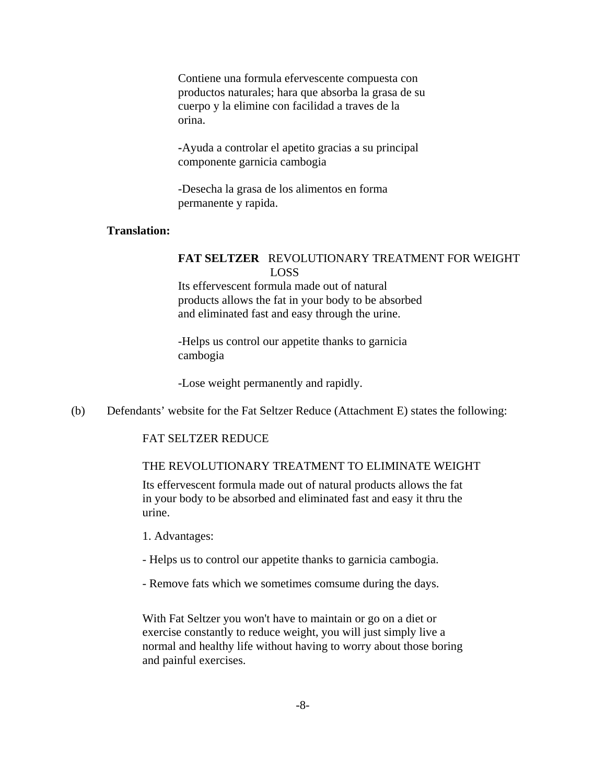Contiene una formula efervescente compuesta con productos naturales; hara que absorba la grasa de su cuerpo y la elimine con facilidad a traves de la orina.

**-**Ayuda a controlar el apetito gracias a su principal componente garnicia cambogia

-Desecha la grasa de los alimentos en forma permanente y rapida.

# **Translation:**

## **FAT SELTZER** REVOLUTIONARY TREATMENT FOR WEIGHT LOSS

Its effervescent formula made out of natural products allows the fat in your body to be absorbed and eliminated fast and easy through the urine.

-Helps us control our appetite thanks to garnicia cambogia

-Lose weight permanently and rapidly.

(b) Defendants' website for the Fat Seltzer Reduce (Attachment E) states the following:

#### FAT SELTZER REDUCE

### THE REVOLUTIONARY TREATMENT TO ELIMINATE WEIGHT

Its effervescent formula made out of natural products allows the fat in your body to be absorbed and eliminated fast and easy it thru the urine.

- 1. Advantages:
- Helps us to control our appetite thanks to garnicia cambogia.
- Remove fats which we sometimes comsume during the days.

With Fat Seltzer you won't have to maintain or go on a diet or exercise constantly to reduce weight, you will just simply live a normal and healthy life without having to worry about those boring and painful exercises.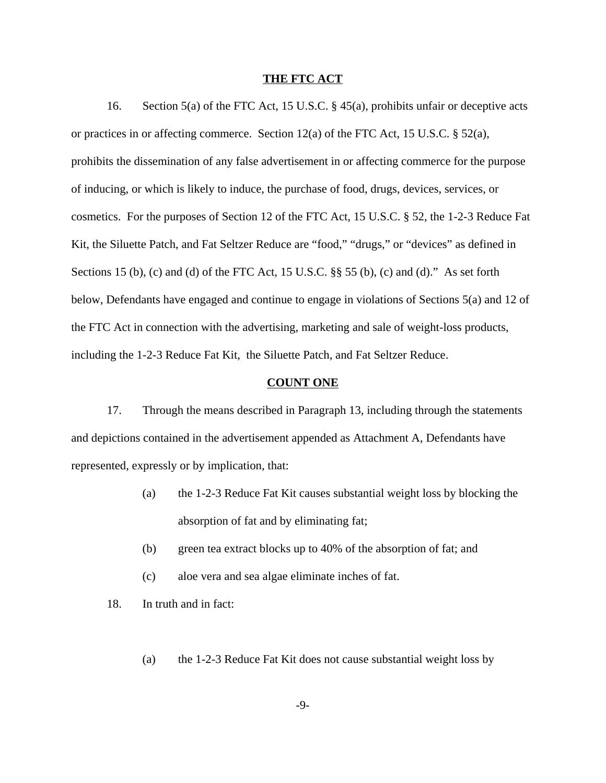#### **THE FTC ACT**

16. Section 5(a) of the FTC Act, 15 U.S.C. § 45(a), prohibits unfair or deceptive acts or practices in or affecting commerce. Section 12(a) of the FTC Act, 15 U.S.C. § 52(a), prohibits the dissemination of any false advertisement in or affecting commerce for the purpose of inducing, or which is likely to induce, the purchase of food, drugs, devices, services, or cosmetics. For the purposes of Section 12 of the FTC Act, 15 U.S.C. § 52, the 1-2-3 Reduce Fat Kit, the Siluette Patch, and Fat Seltzer Reduce are "food," "drugs," or "devices" as defined in Sections 15 (b), (c) and (d) of the FTC Act, 15 U.S.C. §§ 55 (b), (c) and (d)." As set forth below, Defendants have engaged and continue to engage in violations of Sections 5(a) and 12 of the FTC Act in connection with the advertising, marketing and sale of weight-loss products, including the 1-2-3 Reduce Fat Kit, the Siluette Patch, and Fat Seltzer Reduce.

#### **COUNT ONE**

17. Through the means described in Paragraph 13, including through the statements and depictions contained in the advertisement appended as Attachment A, Defendants have represented, expressly or by implication, that:

- (a) the 1-2-3 Reduce Fat Kit causes substantial weight loss by blocking the absorption of fat and by eliminating fat;
- (b) green tea extract blocks up to 40% of the absorption of fat; and
- (c) aloe vera and sea algae eliminate inches of fat.
- 18. In truth and in fact:
	- (a) the 1-2-3 Reduce Fat Kit does not cause substantial weight loss by

-9-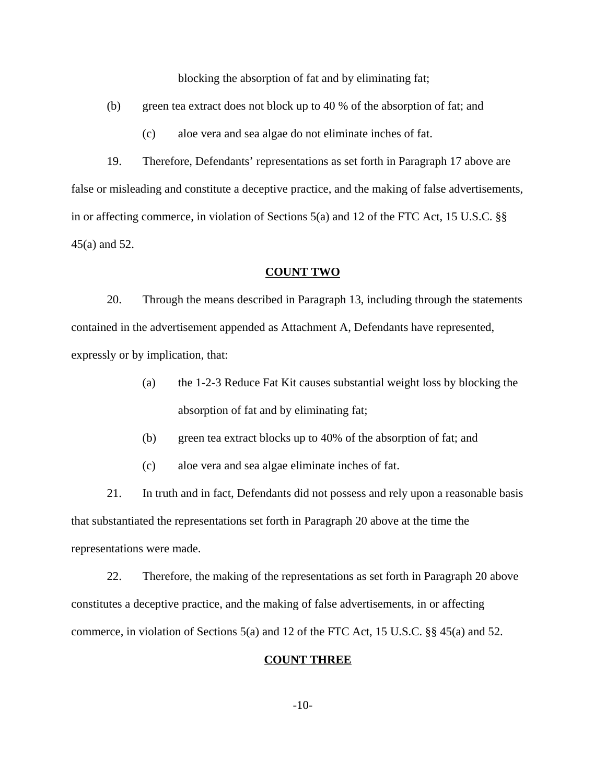blocking the absorption of fat and by eliminating fat;

(b) green tea extract does not block up to 40 % of the absorption of fat; and

(c) aloe vera and sea algae do not eliminate inches of fat.

19. Therefore, Defendants' representations as set forth in Paragraph 17 above are false or misleading and constitute a deceptive practice, and the making of false advertisements, in or affecting commerce, in violation of Sections 5(a) and 12 of the FTC Act, 15 U.S.C. §§ 45(a) and 52.

#### **COUNT TWO**

20. Through the means described in Paragraph 13, including through the statements contained in the advertisement appended as Attachment A, Defendants have represented, expressly or by implication, that:

- (a) the 1-2-3 Reduce Fat Kit causes substantial weight loss by blocking the absorption of fat and by eliminating fat;
- (b) green tea extract blocks up to 40% of the absorption of fat; and
- (c) aloe vera and sea algae eliminate inches of fat.

21. In truth and in fact, Defendants did not possess and rely upon a reasonable basis that substantiated the representations set forth in Paragraph 20 above at the time the representations were made.

22. Therefore, the making of the representations as set forth in Paragraph 20 above constitutes a deceptive practice, and the making of false advertisements, in or affecting commerce, in violation of Sections 5(a) and 12 of the FTC Act, 15 U.S.C. §§ 45(a) and 52.

## **COUNT THREE**

-10-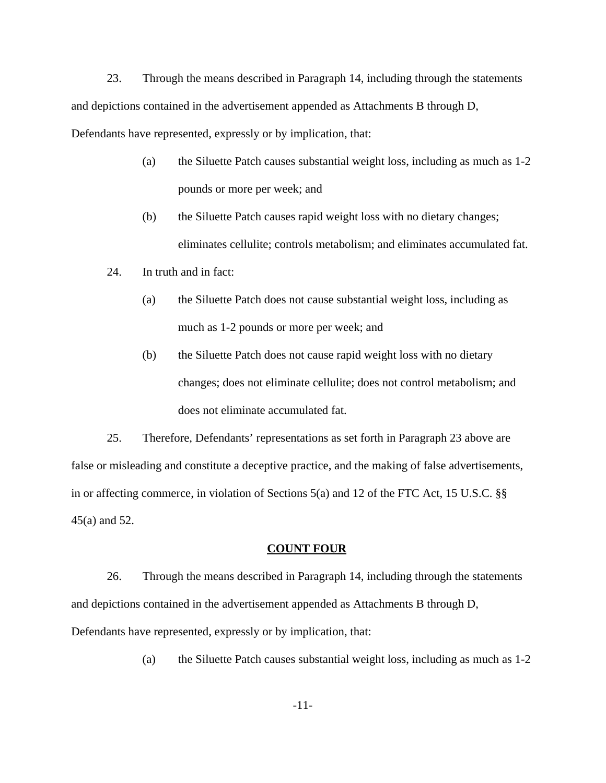23. Through the means described in Paragraph 14, including through the statements and depictions contained in the advertisement appended as Attachments B through D, Defendants have represented, expressly or by implication, that:

- (a) the Siluette Patch causes substantial weight loss, including as much as 1-2 pounds or more per week; and
- (b) the Siluette Patch causes rapid weight loss with no dietary changes; eliminates cellulite; controls metabolism; and eliminates accumulated fat.
- 24. In truth and in fact:
	- (a) the Siluette Patch does not cause substantial weight loss, including as much as 1-2 pounds or more per week; and
	- (b) the Siluette Patch does not cause rapid weight loss with no dietary changes; does not eliminate cellulite; does not control metabolism; and does not eliminate accumulated fat.

25. Therefore, Defendants' representations as set forth in Paragraph 23 above are false or misleading and constitute a deceptive practice, and the making of false advertisements, in or affecting commerce, in violation of Sections 5(a) and 12 of the FTC Act, 15 U.S.C. §§ 45(a) and 52.

# **COUNT FOUR**

26. Through the means described in Paragraph 14, including through the statements and depictions contained in the advertisement appended as Attachments B through D, Defendants have represented, expressly or by implication, that:

(a) the Siluette Patch causes substantial weight loss, including as much as 1-2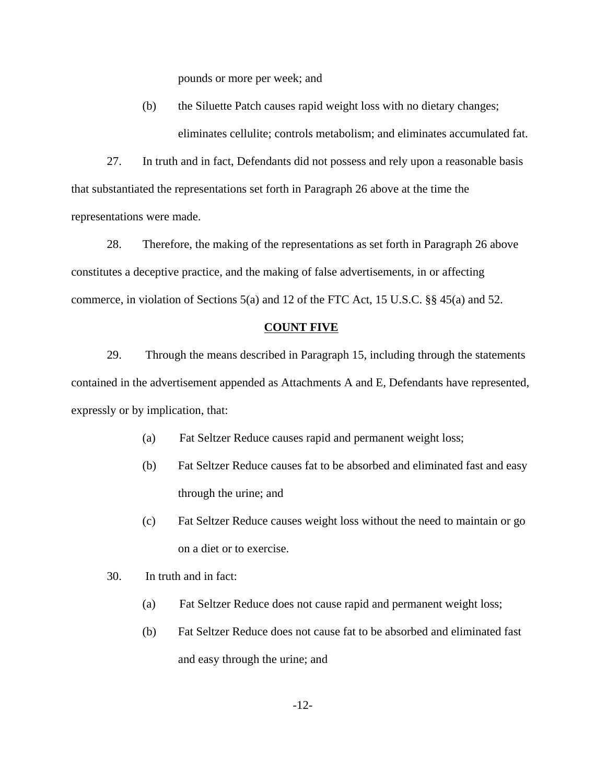pounds or more per week; and

(b) the Siluette Patch causes rapid weight loss with no dietary changes; eliminates cellulite; controls metabolism; and eliminates accumulated fat.

27. In truth and in fact, Defendants did not possess and rely upon a reasonable basis that substantiated the representations set forth in Paragraph 26 above at the time the representations were made.

28. Therefore, the making of the representations as set forth in Paragraph 26 above constitutes a deceptive practice, and the making of false advertisements, in or affecting commerce, in violation of Sections 5(a) and 12 of the FTC Act, 15 U.S.C. §§ 45(a) and 52.

#### **COUNT FIVE**

29. Through the means described in Paragraph 15, including through the statements contained in the advertisement appended as Attachments A and E, Defendants have represented, expressly or by implication, that:

- (a) Fat Seltzer Reduce causes rapid and permanent weight loss;
- (b) Fat Seltzer Reduce causes fat to be absorbed and eliminated fast and easy through the urine; and
- (c) Fat Seltzer Reduce causes weight loss without the need to maintain or go on a diet or to exercise.
- 30. In truth and in fact:
	- (a) Fat Seltzer Reduce does not cause rapid and permanent weight loss;
	- (b) Fat Seltzer Reduce does not cause fat to be absorbed and eliminated fast and easy through the urine; and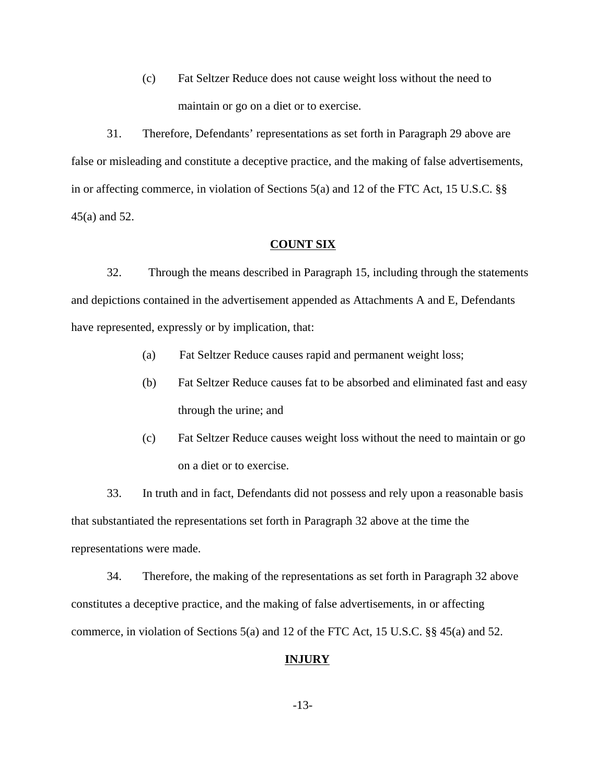(c) Fat Seltzer Reduce does not cause weight loss without the need to maintain or go on a diet or to exercise.

31. Therefore, Defendants' representations as set forth in Paragraph 29 above are false or misleading and constitute a deceptive practice, and the making of false advertisements, in or affecting commerce, in violation of Sections 5(a) and 12 of the FTC Act, 15 U.S.C. §§ 45(a) and 52.

### **COUNT SIX**

32. Through the means described in Paragraph 15, including through the statements and depictions contained in the advertisement appended as Attachments A and E, Defendants have represented, expressly or by implication, that:

- (a) Fat Seltzer Reduce causes rapid and permanent weight loss;
- (b) Fat Seltzer Reduce causes fat to be absorbed and eliminated fast and easy through the urine; and
- (c) Fat Seltzer Reduce causes weight loss without the need to maintain or go on a diet or to exercise.

33. In truth and in fact, Defendants did not possess and rely upon a reasonable basis that substantiated the representations set forth in Paragraph 32 above at the time the representations were made.

34. Therefore, the making of the representations as set forth in Paragraph 32 above constitutes a deceptive practice, and the making of false advertisements, in or affecting commerce, in violation of Sections 5(a) and 12 of the FTC Act, 15 U.S.C. §§ 45(a) and 52.

# **INJURY**

-13-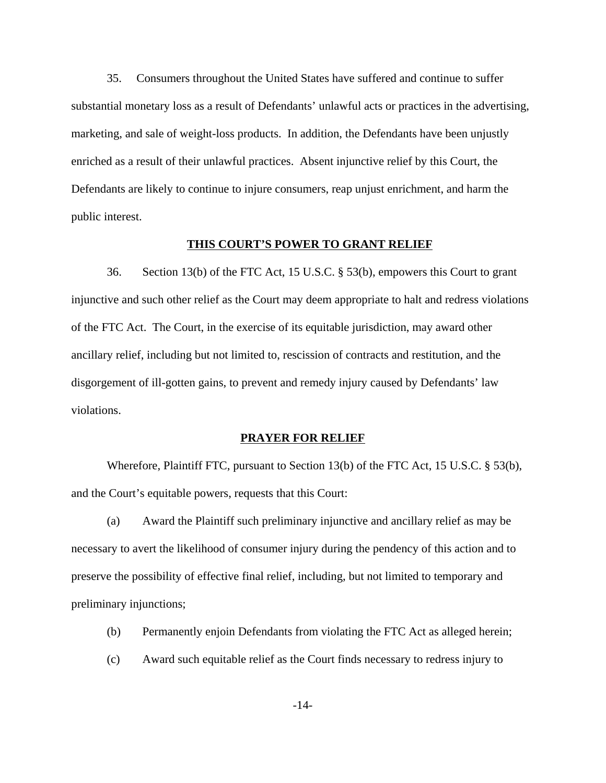35. Consumers throughout the United States have suffered and continue to suffer substantial monetary loss as a result of Defendants' unlawful acts or practices in the advertising, marketing, and sale of weight-loss products. In addition, the Defendants have been unjustly enriched as a result of their unlawful practices. Absent injunctive relief by this Court, the Defendants are likely to continue to injure consumers, reap unjust enrichment, and harm the public interest.

# **THIS COURT'S POWER TO GRANT RELIEF**

36. Section 13(b) of the FTC Act, 15 U.S.C. § 53(b), empowers this Court to grant injunctive and such other relief as the Court may deem appropriate to halt and redress violations of the FTC Act. The Court, in the exercise of its equitable jurisdiction, may award other ancillary relief, including but not limited to, rescission of contracts and restitution, and the disgorgement of ill-gotten gains, to prevent and remedy injury caused by Defendants' law violations.

#### **PRAYER FOR RELIEF**

Wherefore, Plaintiff FTC, pursuant to Section 13(b) of the FTC Act, 15 U.S.C. § 53(b), and the Court's equitable powers, requests that this Court:

(a) Award the Plaintiff such preliminary injunctive and ancillary relief as may be necessary to avert the likelihood of consumer injury during the pendency of this action and to preserve the possibility of effective final relief, including, but not limited to temporary and preliminary injunctions;

- (b) Permanently enjoin Defendants from violating the FTC Act as alleged herein;
- (c) Award such equitable relief as the Court finds necessary to redress injury to

-14-